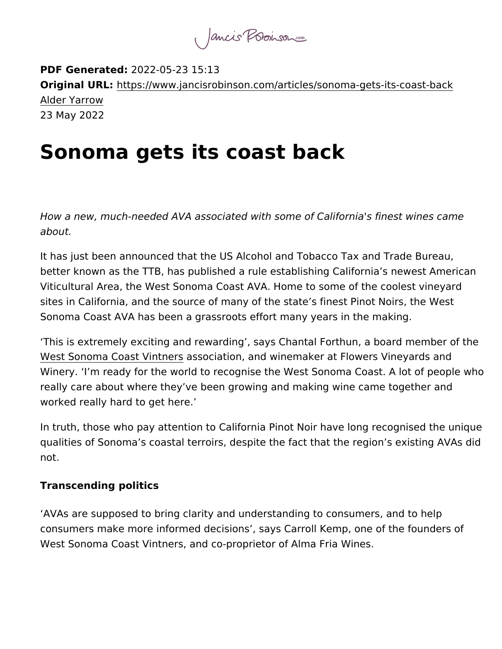PDF Generate2d022-05-23 15:13 Original URMttps://www.jancisrobinson.com/articles/sonoma-gets-i Alder Yarrow 23 May 2022

## Sonoma gets its coast back

How a new, much-needed AVA associated with some of California' about.

It has just been announced that the US Alcohol and Tobacco Tax better known as the TTB, has published a rule establishing Califo Viticultural Area, the West Sonoma Coast AVA. Home to some of the co sites in California, and the source of many of the state s finest P Sonoma Coast AVA has been a grassroots effort many years in the

This is extremely exciting and rewarding, says Chantal Forthun, [West Sonoma Coast](https://westsonomacoast.com/) Vastowers ation, and winemaker at Flowers Viney Winery. I m ready for the world to recognise the West Sonoma Co really care about where they ve been growing and making wine ca worked really hard to get here.

In truth, those who pay attention to California Pinot Noir have lor qualities of Sonoma s coastal terroirs, despite the fact that the r not.

Transcending politics

AVAs are supposed to bring clarity and understanding to consum consumers make more informed decisions, says Carroll Kemp, on West Sonoma Coast Vintners, and co-proprietor of Alma Fria Wine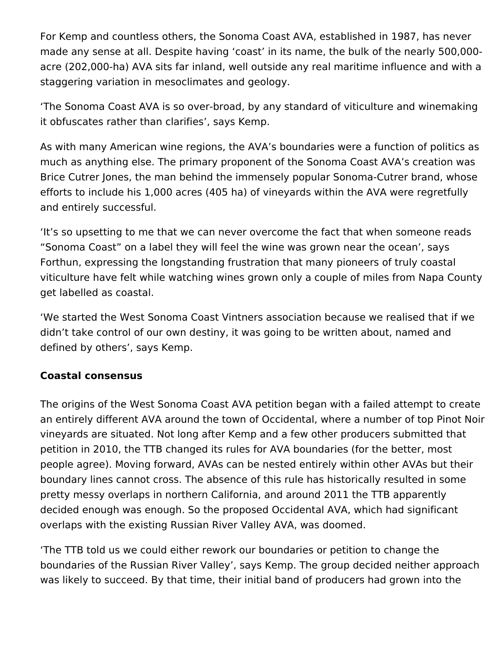For Kemp and countless others, the Sonoma Coast AVA, established in 1987, has never made any sense at all. Despite having 'coast' in its name, the bulk of the nearly 500,000 acre (202,000-ha) AVA sits far inland, well outside any real maritime influence and with a staggering variation in mesoclimates and geology.

'The Sonoma Coast AVA is so over-broad, by any standard of viticulture and winemaking it obfuscates rather than clarifies', says Kemp.

As with many American wine regions, the AVA's boundaries were a function of politics as much as anything else. The primary proponent of the Sonoma Coast AVA's creation was Brice Cutrer Jones, the man behind the immensely popular Sonoma-Cutrer brand, whose efforts to include his 1,000 acres (405 ha) of vineyards within the AVA were regretfully and entirely successful.

'It's so upsetting to me that we can never overcome the fact that when someone reads "Sonoma Coast" on a label they will feel the wine was grown near the ocean', says Forthun, expressing the longstanding frustration that many pioneers of truly coastal viticulture have felt while watching wines grown only a couple of miles from Napa County get labelled as coastal.

'We started the West Sonoma Coast Vintners association because we realised that if we didn't take control of our own destiny, it was going to be written about, named and defined by others', says Kemp.

## **Coastal consensus**

The origins of the West Sonoma Coast AVA petition began with a failed attempt to create an entirely different AVA around the town of Occidental, where a number of top Pinot Noir vineyards are situated. Not long after Kemp and a few other producers submitted that petition in 2010, the TTB changed its rules for AVA boundaries (for the better, most people agree). Moving forward, AVAs can be nested entirely within other AVAs but their boundary lines cannot cross. The absence of this rule has historically resulted in some pretty messy overlaps in northern California, and around 2011 the TTB apparently decided enough was enough. So the proposed Occidental AVA, which had significant overlaps with the existing Russian River Valley AVA, was doomed.

'The TTB told us we could either rework our boundaries or petition to change the boundaries of the Russian River Valley', says Kemp. The group decided neither approach was likely to succeed. By that time, their initial band of producers had grown into the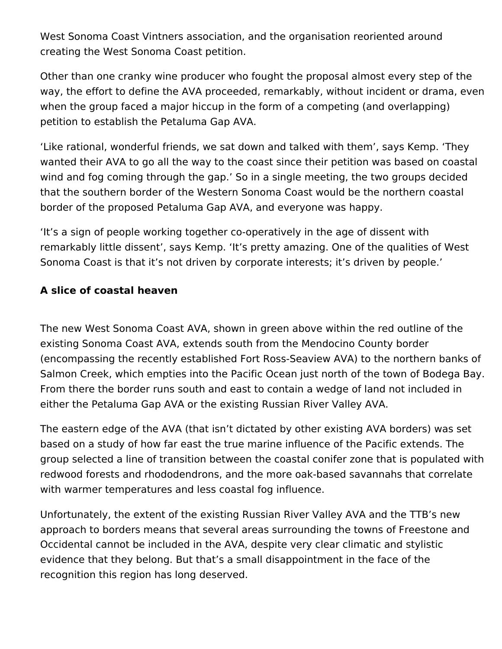West Sonoma Coast Vintners association, and the organisation reoriented around creating the West Sonoma Coast petition.

Other than one cranky wine producer who fought the proposal almost every step of the way, the effort to define the AVA proceeded, remarkably, without incident or drama, even when the group faced a major hiccup in the form of a competing (and overlapping) petition to establish the Petaluma Gap AVA.

'Like rational, wonderful friends, we sat down and talked with them', says Kemp. 'They wanted their AVA to go all the way to the coast since their petition was based on coastal wind and fog coming through the gap.' So in a single meeting, the two groups decided that the southern border of the Western Sonoma Coast would be the northern coastal border of the proposed Petaluma Gap AVA, and everyone was happy.

'It's a sign of people working together co-operatively in the age of dissent with remarkably little dissent', says Kemp. 'It's pretty amazing. One of the qualities of West Sonoma Coast is that it's not driven by corporate interests; it's driven by people.'

## **A slice of coastal heaven**

The new West Sonoma Coast AVA, shown in green above within the red outline of the existing Sonoma Coast AVA, extends south from the Mendocino County border (encompassing the recently established Fort Ross-Seaview AVA) to the northern banks of Salmon Creek, which empties into the Pacific Ocean just north of the town of Bodega Bay. From there the border runs south and east to contain a wedge of land not included in either the Petaluma Gap AVA or the existing Russian River Valley AVA.

The eastern edge of the AVA (that isn't dictated by other existing AVA borders) was set based on a study of how far east the true marine influence of the Pacific extends. The group selected a line of transition between the coastal conifer zone that is populated with redwood forests and rhododendrons, and the more oak-based savannahs that correlate with warmer temperatures and less coastal fog influence.

Unfortunately, the extent of the existing Russian River Valley AVA and the TTB's new approach to borders means that several areas surrounding the towns of Freestone and Occidental cannot be included in the AVA, despite very clear climatic and stylistic evidence that they belong. But that's a small disappointment in the face of the recognition this region has long deserved.